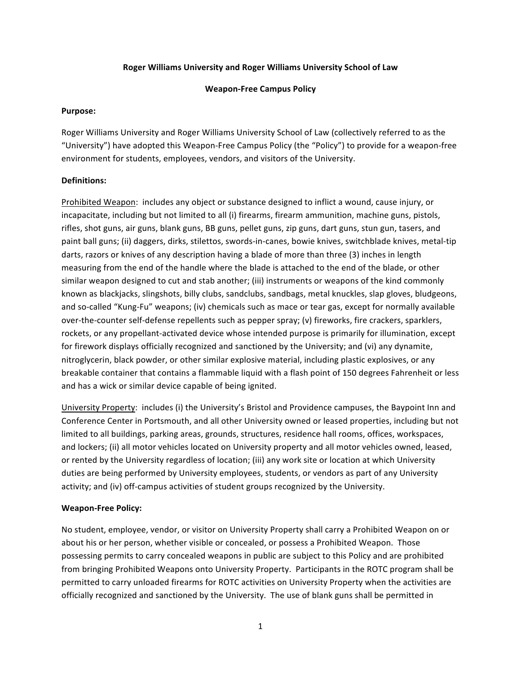## **Roger Williams University and Roger Williams University School of Law**

#### **Weapon‐Free Campus Policy**

#### **Purpose:**

Roger Williams University and Roger Williams University School of Law (collectively referred to as the "University") have adopted this Weapon‐Free Campus Policy (the "Policy") to provide for a weapon‐free environment for students, employees, vendors, and visitors of the University.

## **Definitions:**

Prohibited Weapon: includes any object or substance designed to inflict a wound, cause injury, or incapacitate, including but not limited to all (i) firearms, firearm ammunition, machine guns, pistols, rifles, shot guns, air guns, blank guns, BB guns, pellet guns, zip guns, dart guns, stun gun, tasers, and paint ball guns; (ii) daggers, dirks, stilettos, swords‐in‐canes, bowie knives, switchblade knives, metal‐tip darts, razors or knives of any description having a blade of more than three (3) inches in length measuring from the end of the handle where the blade is attached to the end of the blade, or other similar weapon designed to cut and stab another; (iii) instruments or weapons of the kind commonly known as blackjacks, slingshots, billy clubs, sandclubs, sandbags, metal knuckles, slap gloves, bludgeons, and so-called "Kung-Fu" weapons; (iv) chemicals such as mace or tear gas, except for normally available over-the-counter self-defense repellents such as pepper spray; (v) fireworks, fire crackers, sparklers, rockets, or any propellant‐activated device whose intended purpose is primarily for illumination, except for firework displays officially recognized and sanctioned by the University; and (vi) any dynamite, nitroglycerin, black powder, or other similar explosive material, including plastic explosives, or any breakable container that contains a flammable liquid with a flash point of 150 degrees Fahrenheit or less and has a wick or similar device capable of being ignited.

University Property: includes (i) the University's Bristol and Providence campuses, the Baypoint Inn and Conference Center in Portsmouth, and all other University owned or leased properties, including but not limited to all buildings, parking areas, grounds, structures, residence hall rooms, offices, workspaces, and lockers; (ii) all motor vehicles located on University property and all motor vehicles owned, leased, or rented by the University regardless of location; (iii) any work site or location at which University duties are being performed by University employees, students, or vendors as part of any University activity; and (iv) off-campus activities of student groups recognized by the University.

## **Weapon‐Free Policy:**

No student, employee, vendor, or visitor on University Property shall carry a Prohibited Weapon on or about his or her person, whether visible or concealed, or possess a Prohibited Weapon. Those possessing permits to carry concealed weapons in public are subject to this Policy and are prohibited from bringing Prohibited Weapons onto University Property. Participants in the ROTC program shall be permitted to carry unloaded firearms for ROTC activities on University Property when the activities are officially recognized and sanctioned by the University. The use of blank guns shall be permitted in